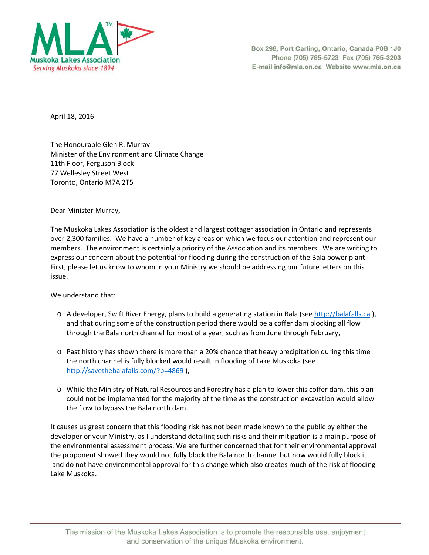

Box 298, Port Carling, Ontario, Canada P0B 1J0 Phone (705) 765-5723 Fax (705) 765-3203 E-mail info@mla.on.ca Website www.mla.on.ca

April 18, 2016

The Honourable Glen R. Murray Minister of the Environment and Climate Change 11th Floor, Ferguson Block 77 Wellesley Street West Toronto, Ontario M7A 2T5

Dear Minister Murray,

The Muskoka Lakes Association is the oldest and largest cottager association in Ontario and represents over 2,300 families. We have a number of key areas on which we focus our attention and represent our members. The environment is certainly a priority of the Association and its members. We are writing to express our concern about the potential for flooding during the construction of the Bala power plant. First, please let us know to whom in your Ministry we should be addressing our future letters on this issue.

We understand that:

- o A developer, Swift River Energy, plans to build a generating station in Bala (se[e http://balafalls.ca](http://balafalls.ca/) ), and that during some of the construction period there would be a coffer dam blocking all flow through the Bala north channel for most of a year, such as from June through February,
- o Past history has shown there is more than a 20% chance that heavy precipitation during this time the north channel is fully blocked would result in flooding of Lake Muskoka (see <http://savethebalafalls.com/?p=4869>),
- o While the Ministry of Natural Resources and Forestry has a plan to lower this coffer dam, this plan could not be implemented for the majority of the time as the construction excavation would allow the flow to bypass the Bala north dam.

It causes us great concern that this flooding risk has not been made known to the public by either the developer or your Ministry, as I understand detailing such risks and their mitigation is a main purpose of the environmental assessment process. We are further concerned that for their environmental approval the proponent showed they would not fully block the Bala north channel but now would fully block it – and do not have environmental approval for this change which also creates much of the risk of flooding Lake Muskoka.